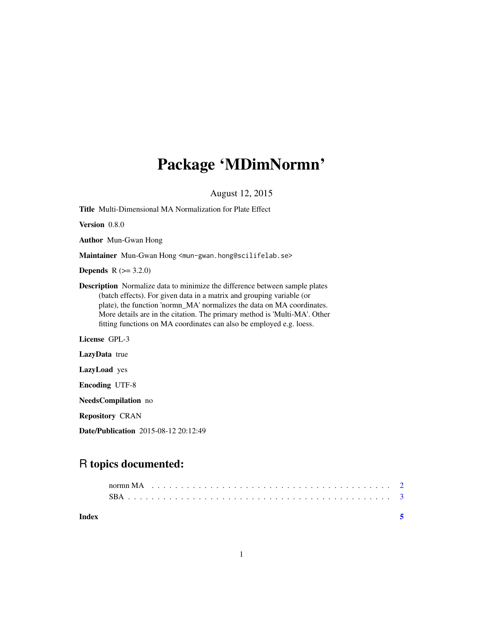## Package 'MDimNormn'

August 12, 2015

Title Multi-Dimensional MA Normalization for Plate Effect

Version 0.8.0

Author Mun-Gwan Hong

Maintainer Mun-Gwan Hong <mun-gwan.hong@scilifelab.se>

**Depends** R  $(>= 3.2.0)$ 

Description Normalize data to minimize the difference between sample plates (batch effects). For given data in a matrix and grouping variable (or plate), the function 'normn\_MA' normalizes the data on MA coordinates. More details are in the citation. The primary method is 'Multi-MA'. Other fitting functions on MA coordinates can also be employed e.g. loess.

License GPL-3

LazyData true

LazyLoad yes

Encoding UTF-8

NeedsCompilation no

Repository CRAN

Date/Publication 2015-08-12 20:12:49

### R topics documented:

**Index** [5](#page-4-0). The second state of the second state of the second state of the second state of the second state of the second state of the second state of the second state of the second state of the second state of the second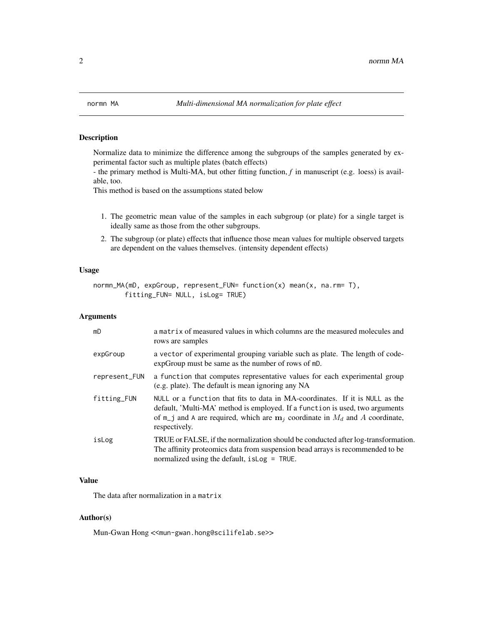<span id="page-1-0"></span>

#### Description

Normalize data to minimize the difference among the subgroups of the samples generated by experimental factor such as multiple plates (batch effects)

- the primary method is Multi-MA, but other fitting function, *f* in manuscript (e.g. loess) is available, too.

This method is based on the assumptions stated below

- 1. The geometric mean value of the samples in each subgroup (or plate) for a single target is ideally same as those from the other subgroups.
- 2. The subgroup (or plate) effects that influence those mean values for multiple observed targets are dependent on the values themselves. (intensity dependent effects)

#### Usage

```
normn_MA(mD, expGroup, represent_FUN= function(x) mean(x, na.rm= T),
       fitting_FUN= NULL, isLog= TRUE)
```
#### Arguments

| mD            | a matrix of measured values in which columns are the measured molecules and<br>rows are samples                                                                                                                                                                     |
|---------------|---------------------------------------------------------------------------------------------------------------------------------------------------------------------------------------------------------------------------------------------------------------------|
| expGroup      | a vector of experimental grouping variable such as plate. The length of code-<br>expGroup must be same as the number of rows of mD.                                                                                                                                 |
| represent_FUN | a function that computes representative values for each experimental group<br>(e.g. plate). The default is mean ignoring any NA                                                                                                                                     |
| fitting_FUN   | NULL or a function that fits to data in MA-coordinates. If it is NULL as the<br>default, 'Multi-MA' method is employed. If a function is used, two arguments<br>of $m_i$ and A are required, which are $m_i$ coordinate in $M_d$ and A coordinate,<br>respectively. |
| isLog         | TRUE or FALSE, if the normalization should be conducted after log-transformation.<br>The affinity proteomics data from suspension bead arrays is recommended to be<br>normalized using the default, is Log = TRUE.                                                  |

#### Value

The data after normalization in a matrix

#### Author(s)

Mun-Gwan Hong << mun-gwan.hong@scilifelab.se>>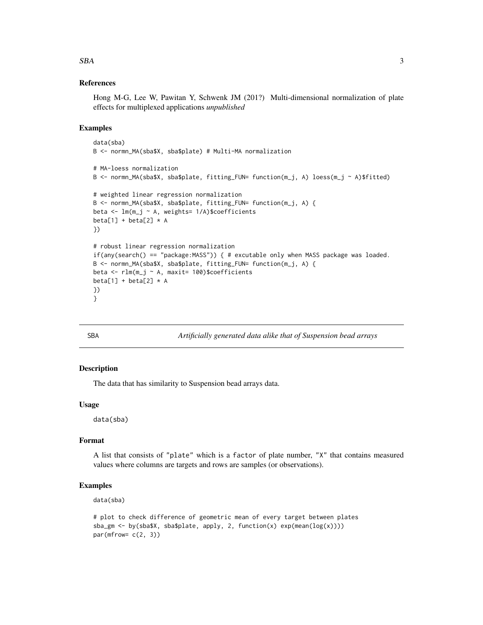#### References

Hong M-G, Lee W, Pawitan Y, Schwenk JM (201?) Multi-dimensional normalization of plate effects for multiplexed applications *unpublished*

#### Examples

```
data(sba)
B <- normn_MA(sba$X, sba$plate) # Multi-MA normalization
# MA-loess normalization
B <- normn_MA(sba$X, sba$plate, fitting_FUN= function(m_j, A) loess(m_j ~ A)$fitted)
# weighted linear regression normalization
B <- normn_MA(sba$X, sba$plate, fitting_FUN= function(m_j, A) {
beta \leq \text{lm}(m_j \sim A, weights= 1/A)$coefficients
beta[1] + beta[2] * A})
# robust linear regression normalization
if(any(search() == "package:MASS")) { # excutable only when MASS package was loaded.
B <- normn_MA(sba$X, sba$plate, fitting_FUN= function(m_j, A) {
beta <- rlm(m_j ~ A, maxit= 100)$coefficients
beta[1] + beta[2] * A})
}
```
SBA *Artificially generated data alike that of Suspension bead arrays*

#### **Description**

The data that has similarity to Suspension bead arrays data.

#### Usage

data(sba)

#### Format

A list that consists of "plate" which is a factor of plate number, "X" that contains measured values where columns are targets and rows are samples (or observations).

#### Examples

data(sba)

```
# plot to check difference of geometric mean of every target between plates
sba_gm <- by(sba$X, sba$plate, apply, 2, function(x) exp(mean(log(x))))
par(mfrow= c(2, 3))
```
<span id="page-2-0"></span> $SBA$  3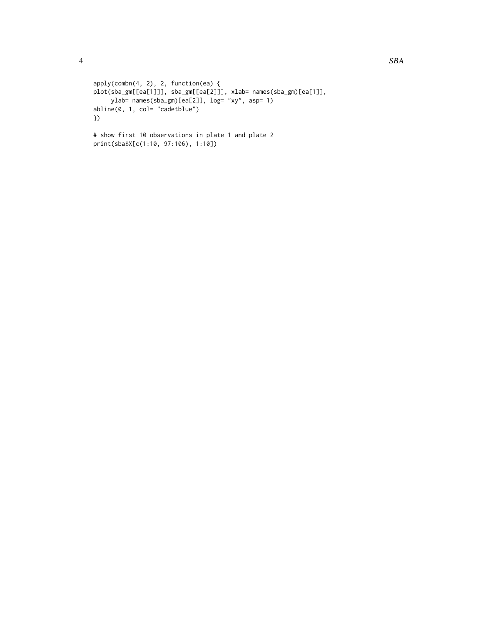```
apply(combn(4, 2), 2, function(ea) {
plot(sba_gm[[ea[1]]], sba_gm[[ea[2]]], xlab= names(sba_gm)[ea[1]],
    ylab= names(sba_gm)[ea[2]], log= "xy", asp= 1)
abline(0, 1, col= "cadetblue")
})
# show first 10 observations in plate 1 and plate 2
```
print(sba\$X[c(1:10, 97:106), 1:10])